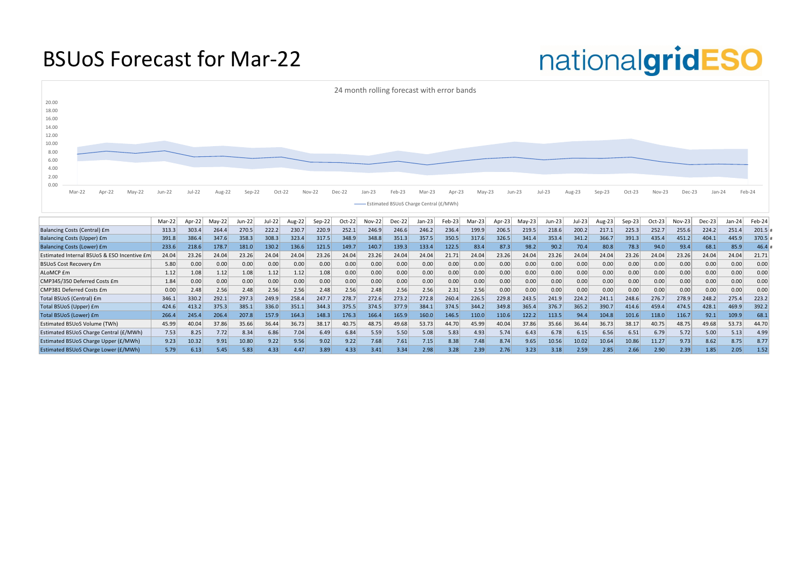#### BSUoS Forecast for Mar-22

|                                             | $Mar-221$ | Apr-22 | $May-22$ | Jun-22 | Jul-22 | Aug-22 | Sep-22 | Oct-22 | Nov-22 | Dec-22 | $Jan-23$ | Feb-23 | Mar-23 | Apr-23 | $May-23$ | Jun-23 | ul-23 | Aug-23 | $Sep-23$ | $Oct-23$ | Nov-23 | Dec-23 | Jan-24 | Feb-24 |
|---------------------------------------------|-----------|--------|----------|--------|--------|--------|--------|--------|--------|--------|----------|--------|--------|--------|----------|--------|-------|--------|----------|----------|--------|--------|--------|--------|
| Balancing Costs (Central) £m                | 313.3     | 303.4  | 264.4    | 270.5  | 222.2  | 230.7  | 220.9  | 252.1  | 246.9  | 246.6  | 246.2    | 236.4  | 199.9  | 206.5  | 219.5    | 218.6  | 200.2 | 217.1  | 225.3    | 252.7    | 255.6  | 224.2  | 251.4  | 201.5  |
| <b>Balancing Costs (Upper) £m</b>           | 391.8     | 386.4  | 347.6    | 358.3  | 308.3  | 323.4  | 317.5  | 348.9  | 348.8  | 351.3  | 357.5    | 350.5  | 317.6  | 326.5  | 341.4    | 353.4  | 341.2 | 366.7  | 391.3    | 435.4    | 451.2  | 404.1  | 445.9  | 370.5  |
| <b>Balancing Costs (Lower) £m</b>           | 233.6     | 218.6  | 178.7    | 181.0  | 130.2  | 136.6  | 121.5  | 149.7  | 140.7  | 139.3  | 133.4    | 122.5  | 83.4   | 87.3   | 98.2     | 90.2   | 70.4  | 80.8   | 78.3     | 94.0     | 93.4   | 68.1   | 85.9   | 46.4   |
| Estimated Internal BSUoS & ESO Incentive £m | 24.04     | 23.26  | 24.04    | 23.26  | 24.04  | 24.04  | 23.26  | 24.04  | 23.26  | 24.04  | 24.04    | 21.71  | 24.04  | 23.26  | 24.04    | 23.26  | 24.04 | 24.04  | 23.26    | 24.04    | 23.26  | 24.04  | 24.04  | 21.71  |
| <b>BSUoS Cost Recovery £m</b>               | 5.80      | 0.00   | 0.00     | 0.00   | 0.00   | 0.00   | 0.00   | 0.00   | 0.00   | 0.00   | 0.00     | 0.00   | 0.00   | 0.00   | 0.00     | 0.00   | 0.00  | 0.00   | 0.00     | 0.00     | 0.00   | 0.00   | 0.00   | 0.00   |
| ALoMCP £m                                   | 1.12      | 1.08   | 1.12     | 1.08   | 1.12   | 1.12   | 1.08   | 0.00   | 0.00   | 0.00   | 0.00     | 0.00   | 0.00   | 0.00   | 0.00     | 0.00   | 0.00  | 0.00   | 0.00     | 0.00     | 0.00   | 0.00   | 0.00   | 0.00   |
| CMP345/350 Deferred Costs £m                | 1.84      | 0.00   | 0.00     | 0.00   | 0.00   | 0.00   | 0.00   | 0.00   | 0.00   | 0.00   | 0.00     | 0.00   | 0.00   | 0.00   | 0.00     | 0.00   | 0.00  | 0.00   | 0.00     | 0.00     | 0.00   | 0.00   | 0.00   | 0.00   |
| CMP381 Deferred Costs £m                    | 0.00      | 2.48   | 2.56     | 2.48   | 2.56   | 2.56   | 2.48   | 2.56   | 2.48   | 2.56   | 2.56     | 2.31   | 2.56   | 0.00   | 0.00     | 0.00   | 0.00  | 0.00   | 0.00     | 0.00     | 0.00   | 0.00   | 0.00   | 0.00   |
| Total BSUoS (Central) £m                    | 346.1     | 330.2  | 292.1    | 297.3  | 249.9  | 258.4  | 247.7  | 278.7  | 272.6  | 273.2  | 272.8    | 260.4  | 226.5  | 229.8  | 243.5    | 241.9  | 224.2 | 241.1  | 248.6    | 276.7    | 278.9  | 248.2  | 275.4  | 223.2  |
| Total BSUoS (Upper) £m                      | 424.6     | 413.2  | 375.3    | 385.1  | 336.0  | 351.1  | 344.3  | 375.5  | 374.5  | 377.9  | 384.1    | 374.5  | 344.2  | 349.8  | 365.4    | 376.7  | 365.2 | 390.7  | 414.6    | 459.4    | 474.5  | 428.1  | 469.9  | 392.2  |
| Total BSUoS (Lower) £m                      | 266.4     | 245.4  | 206.4    | 207.8  | 157.9  | 164.3  | 148.3  | 176.3  | 166.4  | 165.9  | 160.0    | 146.5  | 110.0  | 110.6  | 122.2    | 113.5  | 94.4  | 104.8  | 101.6    | 118.0    | 116.7  | 92.1   | 109.9  | 68.1   |
| <b>Estimated BSUoS Volume (TWh)</b>         | 45.99     | 40.04  | 37.86    | 35.66  | 36.44  | 36.73  | 38.17  | 40.75  | 48.75  | 49.68  | 53.73    | 44.70  | 45.99  | 40.04  | 37.86    | 35.66  | 36.44 | 36.73  | 38.17    | 40.75    | 48.75  | 49.68  | 53.73  | 44.70  |
| Estimated BSUoS Charge Central (£/MWh)      | 7.53      | 8.25   | 7.72     | 8.34   | 6.86   | 7.04   | 6.49   | 6.84   | 5.59   | 5.50   | 5.08     | 5.83   | 4.93   | 5.74   | 6.43     | 6.78   | 6.15  | 6.56   | 6.51     | 6.79     | 5.72   | 5.00   | 5.13   | 4.99   |
| Estimated BSUoS Charge Upper (£/MWh)        | 9.23      | 10.32  | 9.91     | 10.80  | 9.22   | 9.56   | 9.02   | 9.22   | 7.68   | 7.61   | 7.15     | 8.38   | 7.48   | 8.74   | 9.65     | 10.56  | 10.02 | 10.64  | 10.86    | 11.27    | 9.73   | 8.62   | 8.75   | 8.77   |
| <b>Estimated BSUoS Charge Lower (£/MWh)</b> | 5.79      | 5.13   | 5.45     | 5.83   | 4.33   | 4.47   | 3.89   | 4.33   | 3.41   | 3.34   | 2.98     | 3.28   | 2.39   | 2.76   | 3.23     | 3.18   | 2.59  | 2.85   | 2.66     | 2.90     | 2.39   | 1.85   | 2.05   | 1.52   |

## nationalgridESO

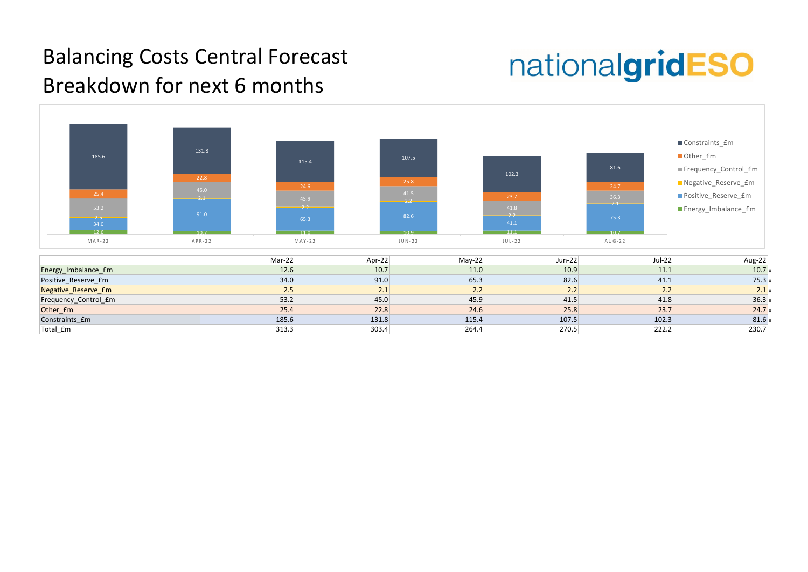

# nationalgridESO

| Aug-22  | $Jul-22$ |
|---------|----------|
| $10.7*$ | 11.1     |
| $75.3*$ | 41.1     |
| $2.1*$  | 2.2      |
| $36.3*$ | 41.8     |
| $24.7*$ | 23.7     |
| 81.6#   | 102.3    |
| 230.7   | 222.2    |

#### Balancing Costs Central Forecast Breakdown for next 6 months